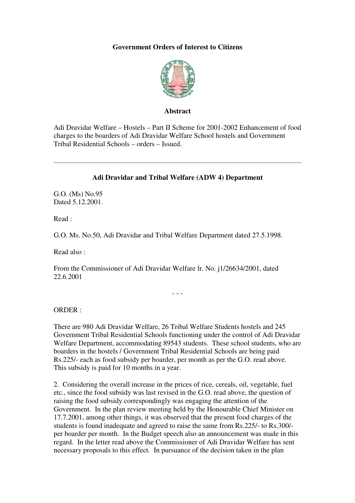## **Government Orders of Interest to Citizens**



## **Abstract**

Adi Dravidar Welfare – Hostels – Part II Scheme for 2001-2002 Enhancement of food charges to the boarders of Adi Dravidar Welfare School hostels and Government Tribal Residential Schools – orders – Issued.

## **Adi Dravidar and Tribal Welfare (ADW 4) Department**

G.O. (Ms) No.95 Dated 5.12.2001.

Read :

G.O. Ms. No.50, Adi Dravidar and Tribal Welfare Department dated 27.5.1998.

Read also :

From the Commissioner of Adi Dravidar Welfare lr. No. j1/26634/2001, dated 22.6.2001

- - -

ORDER :

There are 980 Adi Dravidar Welfare, 26 Tribal Welfare Students hostels and 245 Government Tribal Residential Schools functioning under the control of Adi Dravidar Welfare Department, accommodating 89543 students. These school students, who are boarders in the hostels / Government Tribal Residential Schools are being paid Rs.225/- each as food subsidy per boarder, per month as per the G.O. read above. This subsidy is paid for 10 months in a year.

2. Considering the overall increase in the prices of rice, cereals, oil, vegetable, fuel etc., since the food subsidy was last revised in the G.O. read above, the question of raising the food subsidy correspondingly was engaging the attention of the Government. In the plan review meeting held by the Honourable Chief Minister on 17.7.2001, among other things, it was observed that the present food charges of the students is found inadequate and agreed to raise the same from Rs.225/- to Rs.300/ per boarder per month. In the Budget speech also an announcement was made in this regard. In the letter read above the Commissioner of Adi Dravidar Welfare has sent necessary proposals to this effect. In pursuance of the decision taken in the plan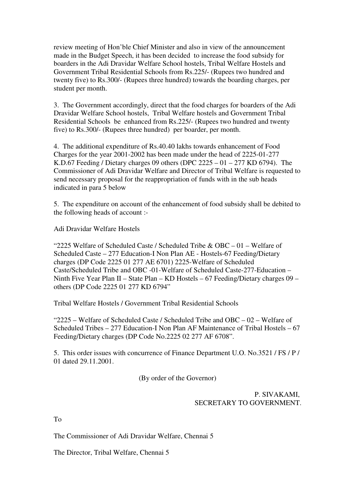review meeting of Hon'ble Chief Minister and also in view of the announcement made in the Budget Speech, it has been decided to increase the food subsidy for boarders in the Adi Dravidar Welfare School hostels, Tribal Welfare Hostels and Government Tribal Residential Schools from Rs.225/- (Rupees two hundred and twenty five) to Rs.300/- (Rupees three hundred) towards the boarding charges, per student per month.

3. The Government accordingly, direct that the food charges for boarders of the Adi Dravidar Welfare School hostels, Tribal Welfare hostels and Government Tribal Residential Schools be enhanced from Rs.225/- (Rupees two hundred and twenty five) to Rs.300/- (Rupees three hundred) per boarder, per month.

4. The additional expenditure of Rs.40.40 lakhs towards enhancement of Food Charges for the year 2001-2002 has been made under the head of 2225-01-277 K.D.67 Feeding / Dietary charges 09 others (DPC  $2225 - 01 - 277$  KD 6794). The Commissioner of Adi Dravidar Welfare and Director of Tribal Welfare is requested to send necessary proposal for the reappropriation of funds with in the sub heads indicated in para 5 below

5. The expenditure on account of the enhancement of food subsidy shall be debited to the following heads of account :-

Adi Dravidar Welfare Hostels

"2225 Welfare of Scheduled Caste / Scheduled Tribe & OBC – 01 – Welfare of Scheduled Caste – 277 Education-I Non Plan AE - Hostels-67 Feeding/Dietary charges (DP Code 2225 01 277 AE 6701) 2225-Welfare of Scheduled Caste/Scheduled Tribe and OBC -01-Welfare of Scheduled Caste-277-Education – Ninth Five Year Plan II – State Plan – KD Hostels – 67 Feeding/Dietary charges 09 – others (DP Code 2225 01 277 KD 6794"

Tribal Welfare Hostels / Government Tribal Residential Schools

" $2225 -$  Welfare of Scheduled Caste / Scheduled Tribe and OBC – 02 – Welfare of Scheduled Tribes – 277 Education-I Non Plan AF Maintenance of Tribal Hostels – 67 Feeding/Dietary charges (DP Code No.2225 02 277 AF 6708".

5. This order issues with concurrence of Finance Department U.O. No.3521 / FS / P / 01 dated 29.11.2001.

(By order of the Governor)

P. SIVAKAMI, SECRETARY TO GOVERNMENT.

To

The Commissioner of Adi Dravidar Welfare, Chennai 5

The Director, Tribal Welfare, Chennai 5